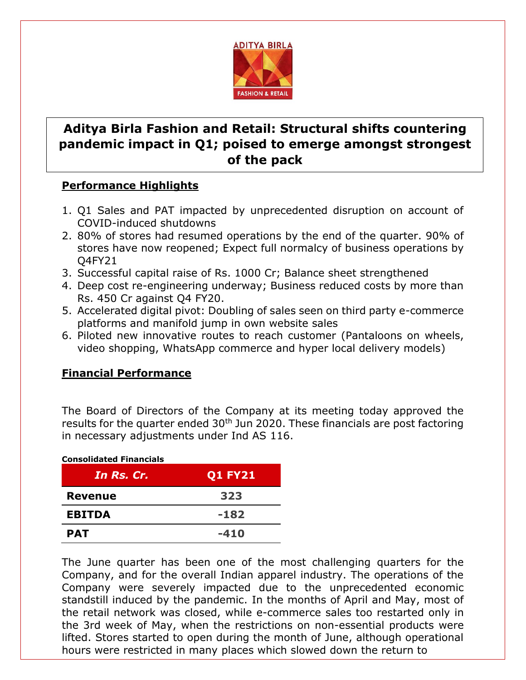

## **Aditya Birla Fashion and Retail: Structural shifts countering pandemic impact in Q1; poised to emerge amongst strongest of the pack**

## **Performance Highlights**

- 1. Q1 Sales and PAT impacted by unprecedented disruption on account of COVID-induced shutdowns
- 2. 80% of stores had resumed operations by the end of the quarter. 90% of stores have now reopened; Expect full normalcy of business operations by Q4FY21
- 3. Successful capital raise of Rs. 1000 Cr; Balance sheet strengthened
- 4. Deep cost re-engineering underway; Business reduced costs by more than Rs. 450 Cr against Q4 FY20.
- 5. Accelerated digital pivot: Doubling of sales seen on third party e-commerce platforms and manifold jump in own website sales
- 6. Piloted new innovative routes to reach customer (Pantaloons on wheels, video shopping, WhatsApp commerce and hyper local delivery models)

## **Financial Performance**

The Board of Directors of the Company at its meeting today approved the results for the quarter ended  $30<sup>th</sup>$  Jun 2020. These financials are post factoring in necessary adjustments under Ind AS 116.

| <b>Consolidated Financials</b><br>In Rs. Cr. | <b>Q1 FY21</b> |
|----------------------------------------------|----------------|
| <b>Revenue</b>                               | 323            |
| <b>EBITDA</b>                                | $-182$         |
| <b>PAT</b>                                   | $-410$         |

The June quarter has been one of the most challenging quarters for the Company, and for the overall Indian apparel industry. The operations of the Company were severely impacted due to the unprecedented economic standstill induced by the pandemic. In the months of April and May, most of the retail network was closed, while e-commerce sales too restarted only in the 3rd week of May, when the restrictions on non-essential products were lifted. Stores started to open during the month of June, although operational hours were restricted in many places which slowed down the return to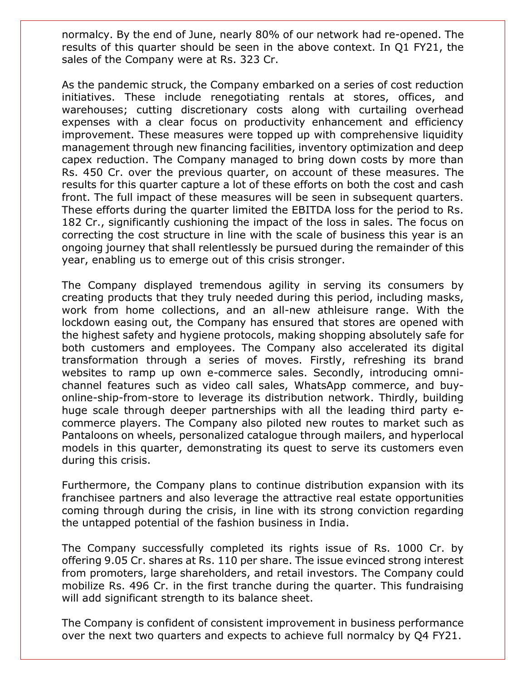normalcy. By the end of June, nearly 80% of our network had re-opened. The results of this quarter should be seen in the above context. In Q1 FY21, the sales of the Company were at Rs. 323 Cr.

As the pandemic struck, the Company embarked on a series of cost reduction initiatives. These include renegotiating rentals at stores, offices, and warehouses; cutting discretionary costs along with curtailing overhead expenses with a clear focus on productivity enhancement and efficiency improvement. These measures were topped up with comprehensive liquidity management through new financing facilities, inventory optimization and deep capex reduction. The Company managed to bring down costs by more than Rs. 450 Cr. over the previous quarter, on account of these measures. The results for this quarter capture a lot of these efforts on both the cost and cash front. The full impact of these measures will be seen in subsequent quarters. These efforts during the quarter limited the EBITDA loss for the period to Rs. 182 Cr., significantly cushioning the impact of the loss in sales. The focus on correcting the cost structure in line with the scale of business this year is an ongoing journey that shall relentlessly be pursued during the remainder of this year, enabling us to emerge out of this crisis stronger.

The Company displayed tremendous agility in serving its consumers by creating products that they truly needed during this period, including masks, work from home collections, and an all-new athleisure range. With the lockdown easing out, the Company has ensured that stores are opened with the highest safety and hygiene protocols, making shopping absolutely safe for both customers and employees. The Company also accelerated its digital transformation through a series of moves. Firstly, refreshing its brand websites to ramp up own e-commerce sales. Secondly, introducing omnichannel features such as video call sales, WhatsApp commerce, and buyonline-ship-from-store to leverage its distribution network. Thirdly, building huge scale through deeper partnerships with all the leading third party ecommerce players. The Company also piloted new routes to market such as Pantaloons on wheels, personalized catalogue through mailers, and hyperlocal models in this quarter, demonstrating its quest to serve its customers even during this crisis.

Furthermore, the Company plans to continue distribution expansion with its franchisee partners and also leverage the attractive real estate opportunities coming through during the crisis, in line with its strong conviction regarding the untapped potential of the fashion business in India.

The Company successfully completed its rights issue of Rs. 1000 Cr. by offering 9.05 Cr. shares at Rs. 110 per share. The issue evinced strong interest from promoters, large shareholders, and retail investors. The Company could mobilize Rs. 496 Cr. in the first tranche during the quarter. This fundraising will add significant strength to its balance sheet.

The Company is confident of consistent improvement in business performance over the next two quarters and expects to achieve full normalcy by Q4 FY21.